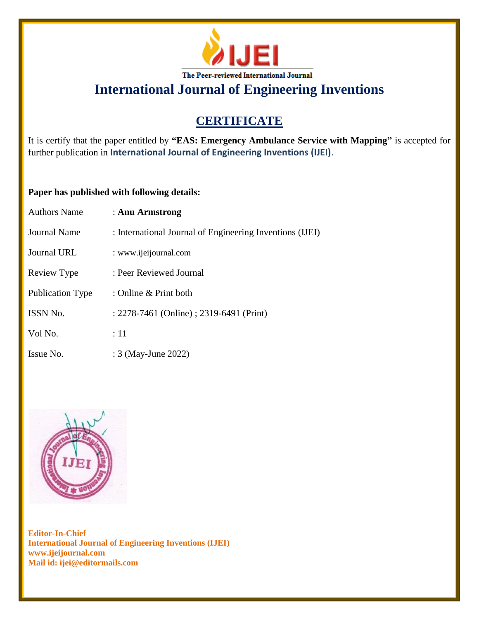

# **CERTIFICATE**

It is certify that the paper entitled by **"EAS: Emergency Ambulance Service with Mapping"** is accepted for further publication in **International Journal of Engineering Inventions (IJEI)**.

## **Paper has published with following details:**

| <b>Authors Name</b> | : Anu Armstrong                                          |
|---------------------|----------------------------------------------------------|
| <b>Journal Name</b> | : International Journal of Engineering Inventions (IJEI) |
| <b>Journal URL</b>  | : www.ijeijournal.com                                    |
| Review Type         | : Peer Reviewed Journal                                  |
| Publication Type    | : Online & Print both                                    |
| ISSN No.            | : 2278-7461 (Online) ; 2319-6491 (Print)                 |
| Vol No.             | :11                                                      |
| Issue No.           | : 3 (May-June 2022)                                      |

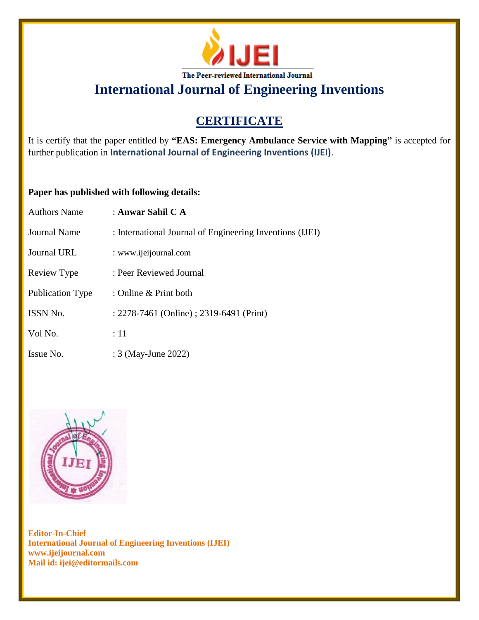

# **CERTIFICATE**

It is certify that the paper entitled by **"EAS: Emergency Ambulance Service with Mapping"** is accepted for further publication in **International Journal of Engineering Inventions (IJEI)**.

## **Paper has published with following details:**

| <b>Authors Name</b> | : Anwar Sahil C A                                        |
|---------------------|----------------------------------------------------------|
| <b>Journal Name</b> | : International Journal of Engineering Inventions (IJEI) |
| <b>Journal URL</b>  | : www.ijeijournal.com                                    |
| Review Type         | : Peer Reviewed Journal                                  |
| Publication Type    | : Online & Print both                                    |
| ISSN No.            | : 2278-7461 (Online) ; 2319-6491 (Print)                 |
| Vol No.             | :11                                                      |
| Issue No.           | : 3 (May-June 2022)                                      |

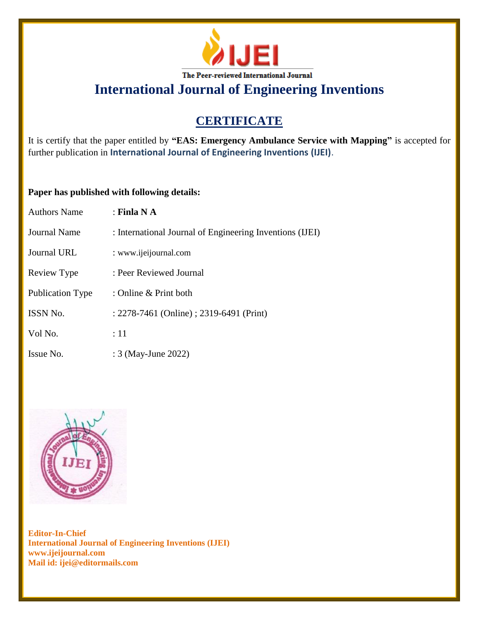

# **CERTIFICATE**

It is certify that the paper entitled by **"EAS: Emergency Ambulance Service with Mapping"** is accepted for further publication in **International Journal of Engineering Inventions (IJEI)**.

## **Paper has published with following details:**

| <b>Authors Name</b> | : Finla N A                                              |
|---------------------|----------------------------------------------------------|
| Journal Name        | : International Journal of Engineering Inventions (IJEI) |
| Journal URL         | : www.ijeijournal.com                                    |
| Review Type         | : Peer Reviewed Journal                                  |
| Publication Type    | : Online $&$ Print both                                  |
| <b>ISSN No.</b>     | : 2278-7461 (Online) ; 2319-6491 (Print)                 |
| Vol No.             | $\div 11$                                                |
| Issue No.           | : 3 (May-June 2022)                                      |

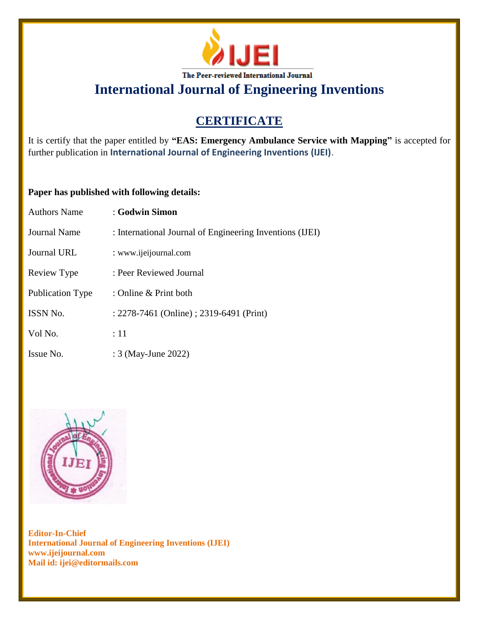

# **CERTIFICATE**

It is certify that the paper entitled by **"EAS: Emergency Ambulance Service with Mapping"** is accepted for further publication in **International Journal of Engineering Inventions (IJEI)**.

## **Paper has published with following details:**

| <b>Authors Name</b>     | : Godwin Simon                                           |
|-------------------------|----------------------------------------------------------|
| Journal Name            | : International Journal of Engineering Inventions (IJEI) |
| Journal URL             | : www.ijeijournal.com                                    |
| Review Type             | : Peer Reviewed Journal                                  |
| <b>Publication Type</b> | : Online & Print both                                    |
| <b>ISSN No.</b>         | : 2278-7461 (Online) ; 2319-6491 (Print)                 |
| Vol No.                 | :11                                                      |
| Issue No.               | : 3 (May-June 2022)                                      |